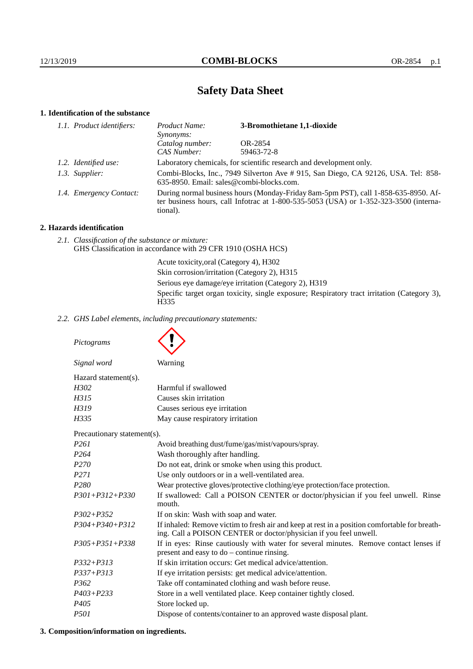# **Safety Data Sheet**

# **1. Identification of the substance**

| 1.1. Product identifiers: | Product Name:<br><i>Synonyms:</i>                                                                                                                                                           | 3-Bromothietane 1,1-dioxide |
|---------------------------|---------------------------------------------------------------------------------------------------------------------------------------------------------------------------------------------|-----------------------------|
|                           | Catalog number:                                                                                                                                                                             | OR-2854                     |
|                           | CAS Number:                                                                                                                                                                                 | 59463-72-8                  |
| 1.2. Identified use:      | Laboratory chemicals, for scientific research and development only.                                                                                                                         |                             |
| 1.3. Supplier:            | Combi-Blocks, Inc., 7949 Silverton Ave # 915, San Diego, CA 92126, USA. Tel: 858-<br>635-8950. Email: sales@combi-blocks.com.                                                               |                             |
| 1.4. Emergency Contact:   | During normal business hours (Monday-Friday 8am-5pm PST), call 1-858-635-8950. Af-<br>ter business hours, call Infotrac at $1-800-535-5053$ (USA) or $1-352-323-3500$ (interna-<br>tional). |                             |

### **2. Hazards identification**

*2.1. Classification of the substance or mixture:* GHS Classification in accordance with 29 CFR 1910 (OSHA HCS)

> Acute toxicity,oral (Category 4), H302 Skin corrosion/irritation (Category 2), H315 Serious eye damage/eye irritation (Category 2), H319 Specific target organ toxicity, single exposure; Respiratory tract irritation (Category 3), H<sub>335</sub>

*2.2. GHS Label elements, including precautionary statements:*

*Pictograms Signal word* Warning Hazard statement(s). *H302* Harmful if swallowed *H315* Causes skin irritation *H319* Causes serious eye irritation *H335* May cause respiratory irritation Precautionary statement(s). *P261* Avoid breathing dust/fume/gas/mist/vapours/spray. *P264* Wash thoroughly after handling. *P270* Do not eat, drink or smoke when using this product. *P271* Use only outdoors or in a well-ventilated area. *P280* Wear protective gloves/protective clothing/eye protection/face protection. *P301+P312+P330* If swallowed: Call a POISON CENTER or doctor/physician if you feel unwell. Rinse mouth. *P302+P352* If on skin: Wash with soap and water. *P304+P340+P312* If inhaled: Remove victim to fresh air and keep at rest in a position comfortable for breathing. Call a POISON CENTER or doctor/physician if you feel unwell. *P305+P351+P338* If in eyes: Rinse cautiously with water for several minutes. Remove contact lenses if present and easy to do – continue rinsing. *P332+P313* If skin irritation occurs: Get medical advice/attention. *P337+P313* If eye irritation persists: get medical advice/attention. *P362* Take off contaminated clothing and wash before reuse. *P403+P233* Store in a well ventilated place. Keep container tightly closed. *P405* Store locked up. *P501* Dispose of contents/container to an approved waste disposal plant.

# **3. Composition/information on ingredients.**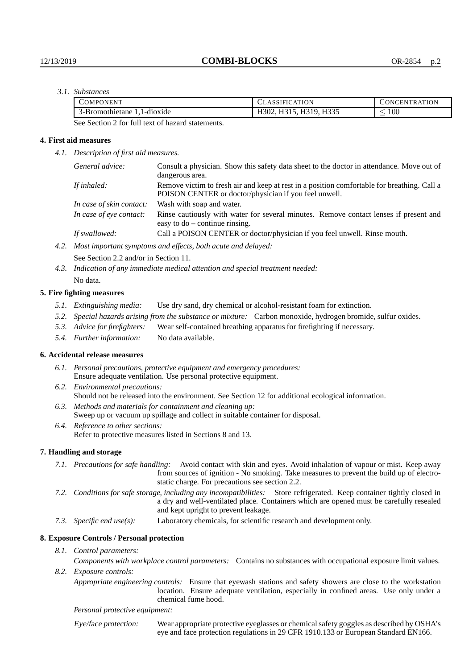*3.1. Substances*

| <b>COMPONENT</b>             | <b>CLASSIFICATION</b> | CONCENTRATION |
|------------------------------|-----------------------|---------------|
| l-d10x1de<br>3-Bromothietane | H319, H335            | $100\,$<br>_  |

See Section 2 for full text of hazard statements.

#### **4. First aid measures**

*4.1. Description of first aid measures.*

| General advice:          | Consult a physician. Show this safety data sheet to the doctor in attendance. Move out of<br>dangerous area.                                         |
|--------------------------|------------------------------------------------------------------------------------------------------------------------------------------------------|
| If inhaled:              | Remove victim to fresh air and keep at rest in a position comfortable for breathing. Call a<br>POISON CENTER or doctor/physician if you feel unwell. |
| In case of skin contact: | Wash with soap and water.                                                                                                                            |
| In case of eye contact:  | Rinse cautiously with water for several minutes. Remove contact lenses if present and<br>easy to $do$ – continue rinsing.                            |
| If swallowed:            | Call a POISON CENTER or doctor/physician if you feel unwell. Rinse mouth.                                                                            |
|                          | $M_{\rm tot}$ interestent constructions and effects leads and can ded aloned.                                                                        |

*4.2. Most important symptoms and effects, both acute and delayed:*

See Section 2.2 and/or in Section 11.

*4.3. Indication of any immediate medical attention and special treatment needed:* No data.

#### **5. Fire fighting measures**

- *5.1. Extinguishing media:* Use dry sand, dry chemical or alcohol-resistant foam for extinction.
- *5.2. Special hazards arising from the substance or mixture:* Carbon monoxide, hydrogen bromide, sulfur oxides.
- *5.3. Advice for firefighters:* Wear self-contained breathing apparatus for firefighting if necessary.
- *5.4. Further information:* No data available.

#### **6. Accidental release measures**

- *6.1. Personal precautions, protective equipment and emergency procedures:* Ensure adequate ventilation. Use personal protective equipment.
- *6.2. Environmental precautions:* Should not be released into the environment. See Section 12 for additional ecological information.
- *6.3. Methods and materials for containment and cleaning up:* Sweep up or vacuum up spillage and collect in suitable container for disposal.
- *6.4. Reference to other sections:* Refer to protective measures listed in Sections 8 and 13.

#### **7. Handling and storage**

- *7.1. Precautions for safe handling:* Avoid contact with skin and eyes. Avoid inhalation of vapour or mist. Keep away from sources of ignition - No smoking. Take measures to prevent the build up of electrostatic charge. For precautions see section 2.2.
- *7.2. Conditions for safe storage, including any incompatibilities:* Store refrigerated. Keep container tightly closed in a dry and well-ventilated place. Containers which are opened must be carefully resealed and kept upright to prevent leakage.
- *7.3. Specific end use(s):* Laboratory chemicals, for scientific research and development only.

#### **8. Exposure Controls / Personal protection**

*8.1. Control parameters:*

*Components with workplace control parameters:* Contains no substances with occupational exposure limit values. *8.2. Exposure controls:*

*Appropriate engineering controls:* Ensure that eyewash stations and safety showers are close to the workstation location. Ensure adequate ventilation, especially in confined areas. Use only under a chemical fume hood.

*Personal protective equipment:*

Eye/face protection: Wear appropriate protective eyeglasses or chemical safety goggles as described by OSHA's eye and face protection regulations in 29 CFR 1910.133 or European Standard EN166.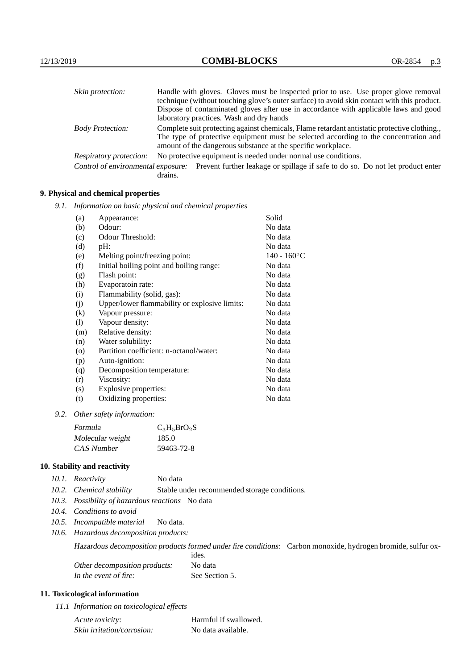| Skin protection:                   | Handle with gloves. Gloves must be inspected prior to use. Use proper glove removal                                                                  |
|------------------------------------|------------------------------------------------------------------------------------------------------------------------------------------------------|
|                                    | technique (without touching glove's outer surface) to avoid skin contact with this product.                                                          |
|                                    | Dispose of contaminated gloves after use in accordance with applicable laws and good                                                                 |
|                                    | laboratory practices. Wash and dry hands                                                                                                             |
| <b>Body Protection:</b>            | Complete suit protecting against chemicals, Flame retardant antistatic protective clothing.                                                          |
|                                    | The type of protective equipment must be selected according to the concentration and<br>amount of the dangerous substance at the specific workplace. |
| <b>Respiratory protection:</b>     | No protective equipment is needed under normal use conditions.                                                                                       |
| Control of environmental exposure: | Prevent further leakage or spillage if safe to do so. Do not let product enter<br>drains.                                                            |

# **9. Physical and chemical properties**

*9.1. Information on basic physical and chemical properties*

| (a)                | Appearance:                                   | Solid                |
|--------------------|-----------------------------------------------|----------------------|
| (b)                | Odour:                                        | No data              |
| (c)                | Odour Threshold:                              | No data              |
| (d)                | pH:                                           | No data              |
| (e)                | Melting point/freezing point:                 | $140 - 160^{\circ}C$ |
| (f)                | Initial boiling point and boiling range:      | No data              |
| (g)                | Flash point:                                  | No data              |
| (h)                | Evaporatoin rate:                             | No data              |
| (i)                | Flammability (solid, gas):                    | No data              |
| (i)                | Upper/lower flammability or explosive limits: | No data              |
| $\rm(k)$           | Vapour pressure:                              | No data              |
| (1)                | Vapour density:                               | No data              |
| (m)                | Relative density:                             | No data              |
| (n)                | Water solubility:                             | No data              |
| $\left( 0 \right)$ | Partition coefficient: n-octanol/water:       | No data              |
| (p)                | Auto-ignition:                                | No data              |
| (q)                | Decomposition temperature:                    | No data              |
| (r)                | Viscosity:                                    | No data              |
| (s)                | Explosive properties:                         | No data              |
| (t)                | Oxidizing properties:                         | No data              |
|                    |                                               |                      |

*9.2. Other safety information:*

| Formula          | $C_3H_5BrO_2S$ |
|------------------|----------------|
| Molecular weight | 185.0          |
| CAS Number       | 59463-72-8     |

# **10. Stability and reactivity**

|  | 10.1. Reactivity | No data |
|--|------------------|---------|
|--|------------------|---------|

- *10.2. Chemical stability* Stable under recommended storage conditions.
- *10.3. Possibility of hazardous reactions* No data
- *10.4. Conditions to avoid*
- *10.5. Incompatible material* No data.
- *10.6. Hazardous decomposition products:*

Hazardous decomposition products formed under fire conditions: Carbon monoxide, hydrogen bromide, sulfur ox-

|                               | ides.          |
|-------------------------------|----------------|
| Other decomposition products: | No data        |
| In the event of fire:         | See Section 5. |

# **11. Toxicological information**

*11.1 Information on toxicological effects*

| Acute toxicity:            | Harmful if swallowed. |
|----------------------------|-----------------------|
| Skin irritation/corrosion: | No data available.    |